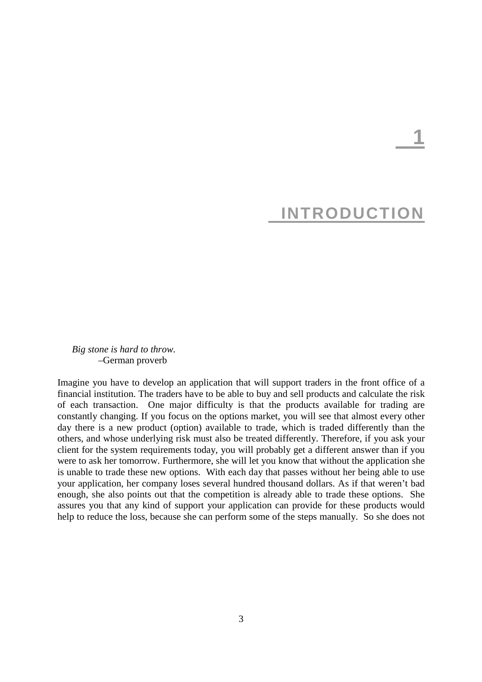**1**

# **INTRODUCTION**

*Big stone is hard to throw.* –German proverb

Imagine you have to develop an application that will support traders in the front office of a financial institution. The traders have to be able to buy and sell products and calculate the risk of each transaction. One major difficulty is that the products available for trading are constantly changing. If you focus on the options market, you will see that almost every other day there is a new product (option) available to trade, which is traded differently than the others, and whose underlying risk must also be treated differently. Therefore, if you ask your client for the system requirements today, you will probably get a different answer than if you were to ask her tomorrow. Furthermore, she will let you know that without the application she is unable to trade these new options. With each day that passes without her being able to use your application, her company loses several hundred thousand dollars. As if that weren't bad enough, she also points out that the competition is already able to trade these options. She assures you that any kind of support your application can provide for these products would help to reduce the loss, because she can perform some of the steps manually. So she does not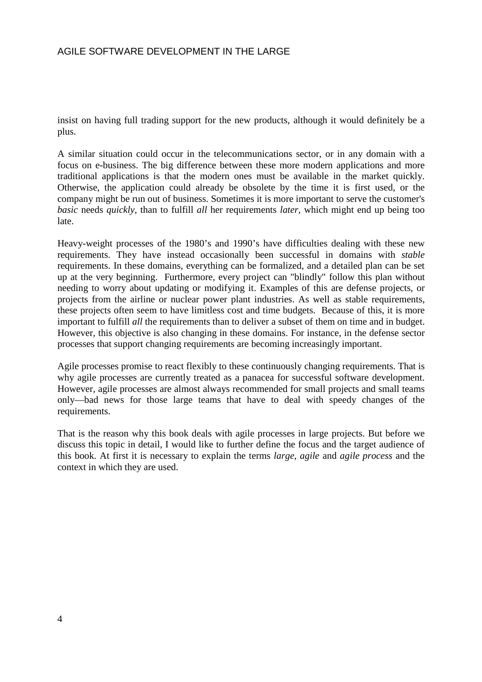#### AGILE SOFTWARE DEVELOPMENT IN THE LARGE

insist on having full trading support for the new products, although it would definitely be a plus.

A similar situation could occur in the telecommunications sector, or in any domain with a focus on e-business. The big difference between these more modern applications and more traditional applications is that the modern ones must be available in the market quickly. Otherwise, the application could already be obsolete by the time it is first used, or the company might be run out of business. Sometimes it is more important to serve the customer's *basic* needs *quickly,* than to fulfill *all* her requirements *later,* which might end up being too late.

Heavy-weight processes of the 1980's and 1990's have difficulties dealing with these new requirements. They have instead occasionally been successful in domains with *stable* requirements. In these domains, everything can be formalized, and a detailed plan can be set up at the very beginning. Furthermore, every project can "blindly" follow this plan without needing to worry about updating or modifying it. Examples of this are defense projects, or projects from the airline or nuclear power plant industries. As well as stable requirements, these projects often seem to have limitless cost and time budgets. Because of this, it is more important to fulfill *all* the requirements than to deliver a subset of them on time and in budget. However, this objective is also changing in these domains. For instance, in the defense sector processes that support changing requirements are becoming increasingly important.

Agile processes promise to react flexibly to these continuously changing requirements. That is why agile processes are currently treated as a panacea for successful software development. However, agile processes are almost always recommended for small projects and small teams only—bad news for those large teams that have to deal with speedy changes of the requirements.

That is the reason why this book deals with agile processes in large projects. But before we discuss this topic in detail, I would like to further define the focus and the target audience of this book. At first it is necessary to explain the terms *large*, *agile* and *agile process* and the context in which they are used.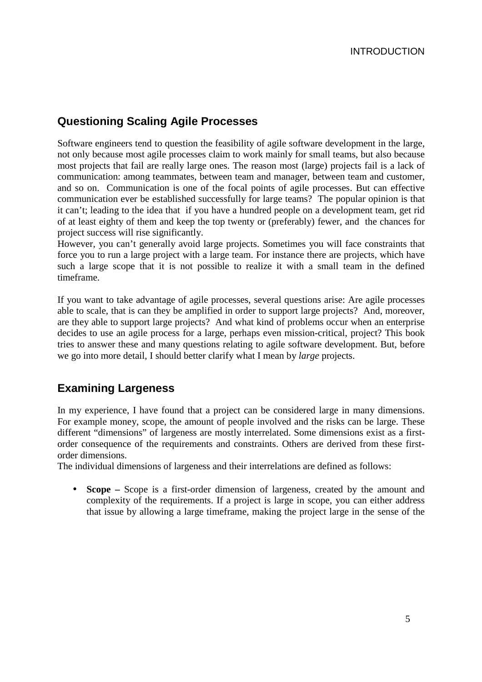# **Questioning Scaling Agile Processes**

Software engineers tend to question the feasibility of agile software development in the large, not only because most agile processes claim to work mainly for small teams, but also because most projects that fail are really large ones. The reason most (large) projects fail is a lack of communication: among teammates, between team and manager, between team and customer, and so on. Communication is one of the focal points of agile processes. But can effective communication ever be established successfully for large teams? The popular opinion is that it can't; leading to the idea that if you have a hundred people on a development team, get rid of at least eighty of them and keep the top twenty or (preferably) fewer, and the chances for project success will rise significantly.

However, you can't generally avoid large projects. Sometimes you will face constraints that force you to run a large project with a large team. For instance there are projects, which have such a large scope that it is not possible to realize it with a small team in the defined timeframe.

If you want to take advantage of agile processes, several questions arise: Are agile processes able to scale, that is can they be amplified in order to support large projects? And, moreover, are they able to support large projects? And what kind of problems occur when an enterprise decides to use an agile process for a large, perhaps even mission-critical, project? This book tries to answer these and many questions relating to agile software development. But, before we go into more detail, I should better clarify what I mean by *large* projects.

#### **Examining Largeness**

In my experience, I have found that a project can be considered large in many dimensions. For example money, scope, the amount of people involved and the risks can be large. These different "dimensions" of largeness are mostly interrelated. Some dimensions exist as a firstorder consequence of the requirements and constraints. Others are derived from these firstorder dimensions.

The individual dimensions of largeness and their interrelations are defined as follows:

• **Scope** – Scope is a first-order dimension of largeness, created by the amount and complexity of the requirements. If a project is large in scope, you can either address that issue by allowing a large timeframe, making the project large in the sense of the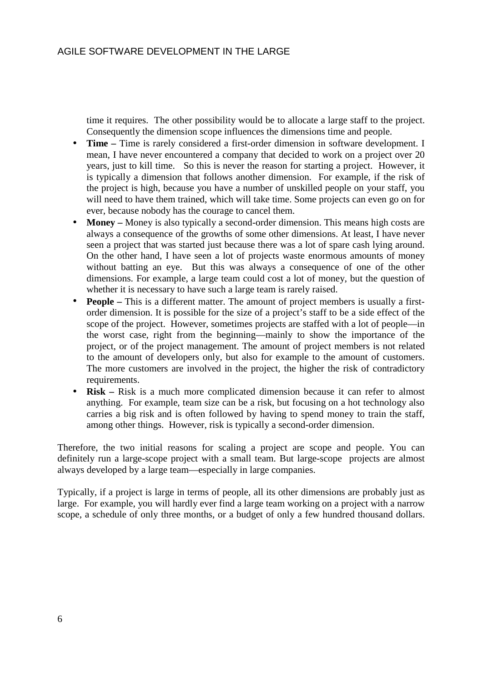time it requires. The other possibility would be to allocate a large staff to the project. Consequently the dimension scope influences the dimensions time and people.

- **Time** Time is rarely considered a first-order dimension in software development. I mean, I have never encountered a company that decided to work on a project over 20 years, just to kill time. So this is never the reason for starting a project. However, it is typically a dimension that follows another dimension. For example, if the risk of the project is high, because you have a number of unskilled people on your staff, you will need to have them trained, which will take time. Some projects can even go on for ever, because nobody has the courage to cancel them.
- **Money** Money is also typically a second-order dimension. This means high costs are always a consequence of the growths of some other dimensions. At least, I have never seen a project that was started just because there was a lot of spare cash lying around. On the other hand, I have seen a lot of projects waste enormous amounts of money without batting an eye. But this was always a consequence of one of the other dimensions. For example, a large team could cost a lot of money, but the question of whether it is necessary to have such a large team is rarely raised.
- **People –** This is a different matter. The amount of project members is usually a firstorder dimension. It is possible for the size of a project's staff to be a side effect of the scope of the project. However, sometimes projects are staffed with a lot of people—in the worst case, right from the beginning—mainly to show the importance of the project, or of the project management. The amount of project members is not related to the amount of developers only, but also for example to the amount of customers. The more customers are involved in the project, the higher the risk of contradictory requirements.
- **Risk –** Risk is a much more complicated dimension because it can refer to almost anything. For example, team size can be a risk, but focusing on a hot technology also carries a big risk and is often followed by having to spend money to train the staff, among other things. However, risk is typically a second-order dimension.

Therefore, the two initial reasons for scaling a project are scope and people. You can definitely run a large-scope project with a small team. But large-scope projects are almost always developed by a large team—especially in large companies.

Typically, if a project is large in terms of people, all its other dimensions are probably just as large. For example, you will hardly ever find a large team working on a project with a narrow scope, a schedule of only three months, or a budget of only a few hundred thousand dollars.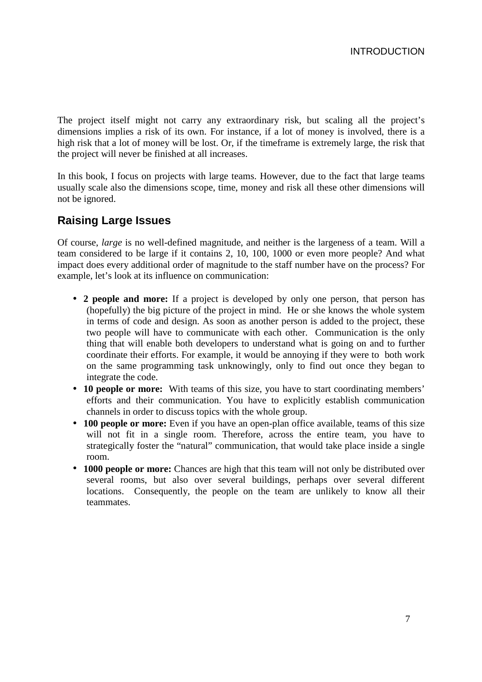The project itself might not carry any extraordinary risk, but scaling all the project's dimensions implies a risk of its own. For instance, if a lot of money is involved, there is a high risk that a lot of money will be lost. Or, if the timeframe is extremely large, the risk that the project will never be finished at all increases.

In this book, I focus on projects with large teams. However, due to the fact that large teams usually scale also the dimensions scope, time, money and risk all these other dimensions will not be ignored.

# **Raising Large Issues**

Of course, *large* is no well-defined magnitude, and neither is the largeness of a team. Will a team considered to be large if it contains 2, 10, 100, 1000 or even more people? And what impact does every additional order of magnitude to the staff number have on the process? For example, let's look at its influence on communication:

- **2 people and more:** If a project is developed by only one person, that person has (hopefully) the big picture of the project in mind. He or she knows the whole system in terms of code and design. As soon as another person is added to the project, these two people will have to communicate with each other. Communication is the only thing that will enable both developers to understand what is going on and to further coordinate their efforts. For example, it would be annoying if they were to both work on the same programming task unknowingly, only to find out once they began to integrate the code.
- **10 people or more:** With teams of this size, you have to start coordinating members' efforts and their communication. You have to explicitly establish communication channels in order to discuss topics with the whole group.
- **100 people or more:** Even if you have an open-plan office available, teams of this size will not fit in a single room. Therefore, across the entire team, you have to strategically foster the "natural" communication, that would take place inside a single room.
- **1000 people or more:** Chances are high that this team will not only be distributed over several rooms, but also over several buildings, perhaps over several different locations. Consequently, the people on the team are unlikely to know all their teammates.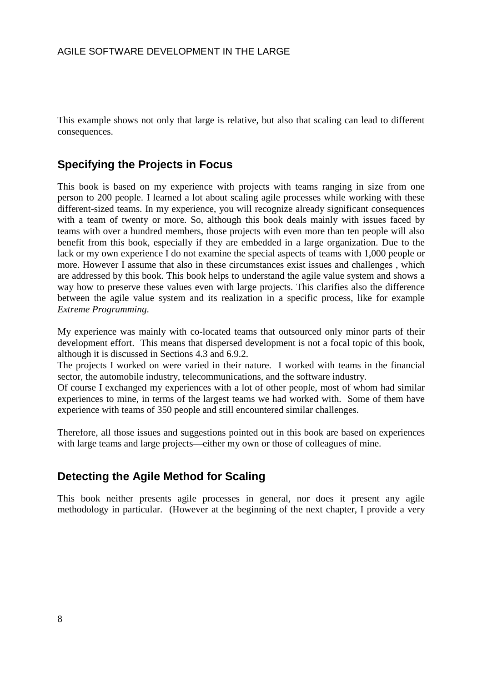This example shows not only that large is relative, but also that scaling can lead to different consequences.

#### **Specifying the Projects in Focus**

This book is based on my experience with projects with teams ranging in size from one person to 200 people. I learned a lot about scaling agile processes while working with these different-sized teams. In my experience, you will recognize already significant consequences with a team of twenty or more. So, although this book deals mainly with issues faced by teams with over a hundred members, those projects with even more than ten people will also benefit from this book, especially if they are embedded in a large organization. Due to the lack or my own experience I do not examine the special aspects of teams with 1,000 people or more. However I assume that also in these circumstances exist issues and challenges , which are addressed by this book. This book helps to understand the agile value system and shows a way how to preserve these values even with large projects. This clarifies also the difference between the agile value system and its realization in a specific process, like for example *Extreme Programming*.

My experience was mainly with co-located teams that outsourced only minor parts of their development effort. This means that dispersed development is not a focal topic of this book, although it is discussed in Sections 4.3 and 6.9.2.

The projects I worked on were varied in their nature. I worked with teams in the financial sector, the automobile industry, telecommunications, and the software industry.

Of course I exchanged my experiences with a lot of other people, most of whom had similar experiences to mine, in terms of the largest teams we had worked with. Some of them have experience with teams of 350 people and still encountered similar challenges.

Therefore, all those issues and suggestions pointed out in this book are based on experiences with large teams and large projects—either my own or those of colleagues of mine.

#### **Detecting the Agile Method for Scaling**

This book neither presents agile processes in general, nor does it present any agile methodology in particular. (However at the beginning of the next chapter, I provide a very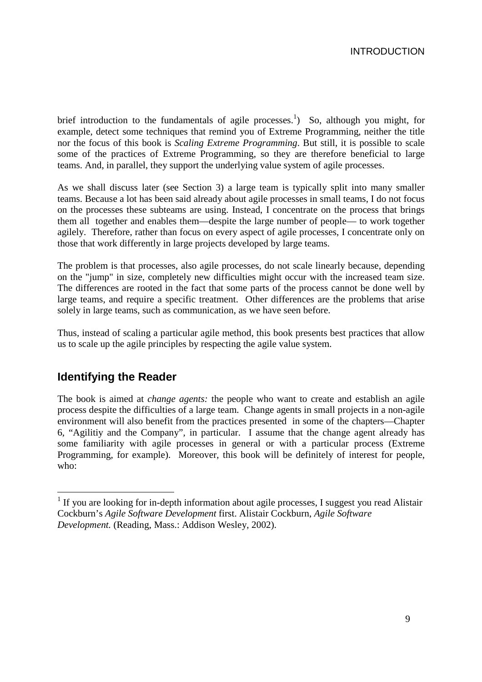brief introduction to the fundamentals of agile processes.<sup>1</sup>) So, although you might, for example, detect some techniques that remind you of Extreme Programming, neither the title nor the focus of this book is *Scaling Extreme Programming*. But still, it is possible to scale some of the practices of Extreme Programming, so they are therefore beneficial to large teams. And, in parallel, they support the underlying value system of agile processes.

As we shall discuss later (see Section 3) a large team is typically split into many smaller teams. Because a lot has been said already about agile processes in small teams, I do not focus on the processes these subteams are using. Instead, I concentrate on the process that brings them all together and enables them—despite the large number of people— to work together agilely. Therefore, rather than focus on every aspect of agile processes, I concentrate only on those that work differently in large projects developed by large teams.

The problem is that processes, also agile processes, do not scale linearly because, depending on the "jump" in size, completely new difficulties might occur with the increased team size. The differences are rooted in the fact that some parts of the process cannot be done well by large teams, and require a specific treatment. Other differences are the problems that arise solely in large teams, such as communication, as we have seen before.

Thus, instead of scaling a particular agile method, this book presents best practices that allow us to scale up the agile principles by respecting the agile value system.

# **Identifying the Reader**

The book is aimed at *change agents:* the people who want to create and establish an agile process despite the difficulties of a large team. Change agents in small projects in a non-agile environment will also benefit from the practices presented in some of the chapters—Chapter 6, "Agilitiy and the Company"*,* in particular. I assume that the change agent already has some familiarity with agile processes in general or with a particular process (Extreme Programming, for example). Moreover, this book will be definitely of interest for people, who:

<sup>&</sup>lt;sup>1</sup> If you are looking for in-depth information about agile processes, I suggest you read Alistair Cockburn's *Agile Software Development* first. Alistair Cockburn, *Agile Software Development.* (Reading, Mass.: Addison Wesley, 2002).